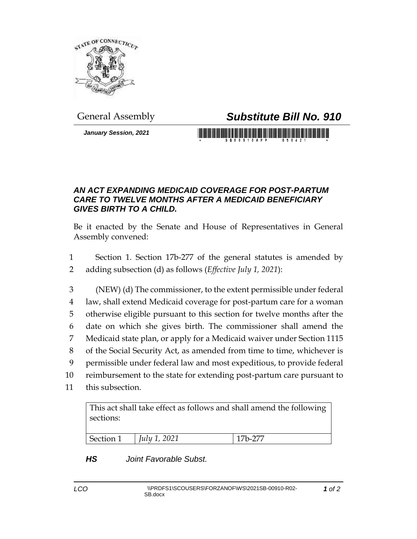

## General Assembly *Substitute Bill No. 910*

*January Session, 2021*

## *AN ACT EXPANDING MEDICAID COVERAGE FOR POST-PARTUM CARE TO TWELVE MONTHS AFTER A MEDICAID BENEFICIARY GIVES BIRTH TO A CHILD.*

Be it enacted by the Senate and House of Representatives in General Assembly convened:

1 Section 1. Section 17b-277 of the general statutes is amended by 2 adding subsection (d) as follows (*Effective July 1, 2021*):

 (NEW) (d) The commissioner, to the extent permissible under federal law, shall extend Medicaid coverage for post-partum care for a woman otherwise eligible pursuant to this section for twelve months after the date on which she gives birth. The commissioner shall amend the Medicaid state plan, or apply for a Medicaid waiver under Section 1115 of the Social Security Act, as amended from time to time, whichever is permissible under federal law and most expeditious, to provide federal reimbursement to the state for extending post-partum care pursuant to

11 this subsection.

This act shall take effect as follows and shall amend the following sections:

| <i>July 1, 2021</i><br>7h <b>-</b> 277 ا<br>Section 1 |  |
|-------------------------------------------------------|--|

## *HS Joint Favorable Subst.*

*1 of 2*